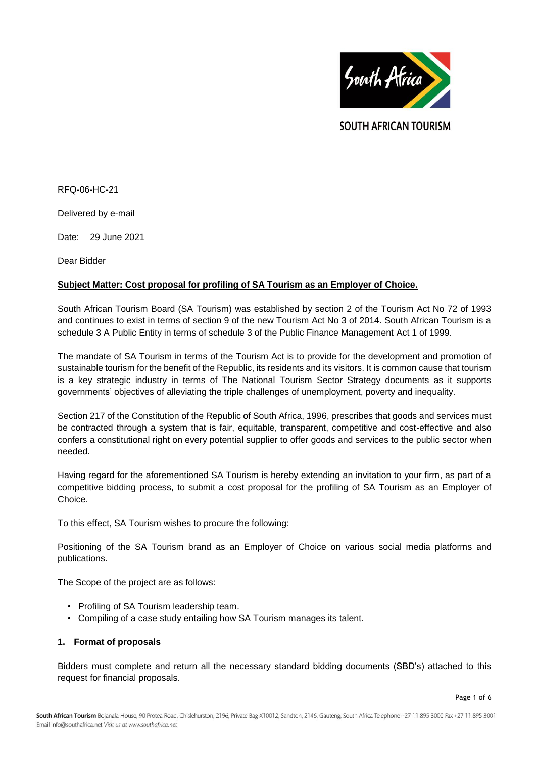

**SOUTH AFRICAN TOURISM** 

RFQ-06-HC-21

Delivered by e-mail

Date: 29 June 2021

Dear Bidder

## **Subject Matter: Cost proposal for profiling of SA Tourism as an Employer of Choice.**

South African Tourism Board (SA Tourism) was established by section 2 of the Tourism Act No 72 of 1993 and continues to exist in terms of section 9 of the new Tourism Act No 3 of 2014. South African Tourism is a schedule 3 A Public Entity in terms of schedule 3 of the Public Finance Management Act 1 of 1999.

The mandate of SA Tourism in terms of the Tourism Act is to provide for the development and promotion of sustainable tourism for the benefit of the Republic, its residents and its visitors. It is common cause that tourism is a key strategic industry in terms of The National Tourism Sector Strategy documents as it supports governments' objectives of alleviating the triple challenges of unemployment, poverty and inequality.

Section 217 of the Constitution of the Republic of South Africa, 1996, prescribes that goods and services must be contracted through a system that is fair, equitable, transparent, competitive and cost-effective and also confers a constitutional right on every potential supplier to offer goods and services to the public sector when needed.

Having regard for the aforementioned SA Tourism is hereby extending an invitation to your firm, as part of a competitive bidding process, to submit a cost proposal for the profiling of SA Tourism as an Employer of Choice.

To this effect, SA Tourism wishes to procure the following:

Positioning of the SA Tourism brand as an Employer of Choice on various social media platforms and publications.

The Scope of the project are as follows:

- Profiling of SA Tourism leadership team.
- Compiling of a case study entailing how SA Tourism manages its talent.

#### **1. Format of proposals**

Bidders must complete and return all the necessary standard bidding documents (SBD's) attached to this request for financial proposals.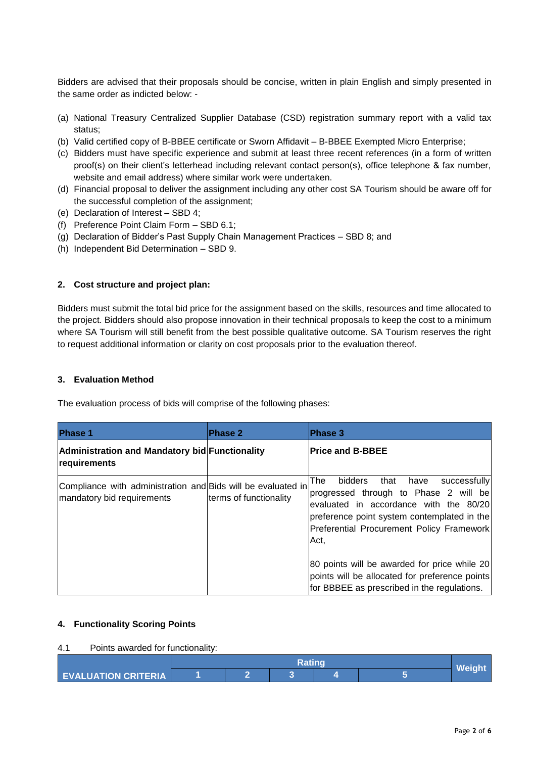Bidders are advised that their proposals should be concise, written in plain English and simply presented in the same order as indicted below: -

- (a) National Treasury Centralized Supplier Database (CSD) registration summary report with a valid tax status;
- (b) Valid certified copy of B-BBEE certificate or Sworn Affidavit B-BBEE Exempted Micro Enterprise;
- (c) Bidders must have specific experience and submit at least three recent references (in a form of written proof(s) on their client's letterhead including relevant contact person(s), office telephone & fax number, website and email address) where similar work were undertaken.
- (d) Financial proposal to deliver the assignment including any other cost SA Tourism should be aware off for the successful completion of the assignment;
- (e) Declaration of Interest SBD 4;
- (f) Preference Point Claim Form SBD 6.1;
- (g) Declaration of Bidder's Past Supply Chain Management Practices SBD 8; and
- (h) Independent Bid Determination SBD 9.

## **2. Cost structure and project plan:**

Bidders must submit the total bid price for the assignment based on the skills, resources and time allocated to the project. Bidders should also propose innovation in their technical proposals to keep the cost to a minimum where SA Tourism will still benefit from the best possible qualitative outcome. SA Tourism reserves the right to request additional information or clarity on cost proposals prior to the evaluation thereof.

## **3. Evaluation Method**

The evaluation process of bids will comprise of the following phases:

| <b>Phase 1</b>                                                                             | <b>Phase 2</b>         | <b>Phase 3</b>                                                                                                                                                                                                                        |
|--------------------------------------------------------------------------------------------|------------------------|---------------------------------------------------------------------------------------------------------------------------------------------------------------------------------------------------------------------------------------|
| Administration and Mandatory bid Functionality<br>requirements                             |                        | <b>Price and B-BBEE</b>                                                                                                                                                                                                               |
| Compliance with administration and Bids will be evaluated in<br>mandatory bid requirements | terms of functionality | bidders<br>The<br>that<br>successfully<br>have<br>progressed through to Phase 2 will be<br>evaluated in accordance with the 80/20<br>preference point system contemplated in the<br>Preferential Procurement Policy Framework<br>Act. |
|                                                                                            |                        | 80 points will be awarded for price while 20<br>points will be allocated for preference points<br>for BBBEE as prescribed in the regulations.                                                                                         |

## **4. Functionality Scoring Points**

## 4.1 Points awarded for functionality:

| <b>EVALUATION CRITERIA</b> |  |  |  |  |  |  |
|----------------------------|--|--|--|--|--|--|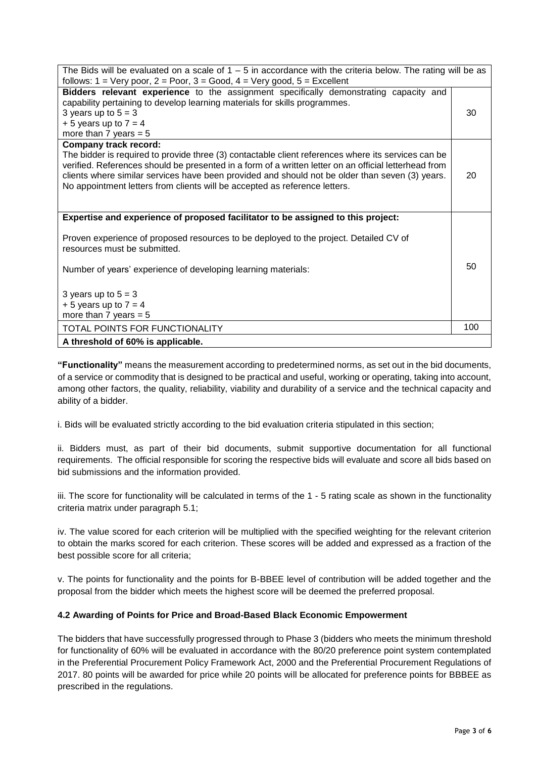| The Bids will be evaluated on a scale of $1 - 5$ in accordance with the criteria below. The rating will be as<br>follows: $1 = \text{Very poor}, 2 = \text{Poor}, 3 = \text{Good}, 4 = \text{Very good}, 5 = \text{Excellent}$                                                                                                                                                                                                |     |  |  |  |
|-------------------------------------------------------------------------------------------------------------------------------------------------------------------------------------------------------------------------------------------------------------------------------------------------------------------------------------------------------------------------------------------------------------------------------|-----|--|--|--|
| Bidders relevant experience to the assignment specifically demonstrating capacity and<br>capability pertaining to develop learning materials for skills programmes.<br>3 years up to $5 = 3$<br>$+5$ years up to $7 = 4$<br>more than 7 years $= 5$                                                                                                                                                                           | 30  |  |  |  |
| <b>Company track record:</b><br>The bidder is required to provide three (3) contactable client references where its services can be<br>verified. References should be presented in a form of a written letter on an official letterhead from<br>clients where similar services have been provided and should not be older than seven (3) years.<br>No appointment letters from clients will be accepted as reference letters. | 20  |  |  |  |
| Expertise and experience of proposed facilitator to be assigned to this project:<br>Proven experience of proposed resources to be deployed to the project. Detailed CV of<br>resources must be submitted.                                                                                                                                                                                                                     |     |  |  |  |
| Number of years' experience of developing learning materials:<br>3 years up to $5 = 3$<br>$+5$ years up to $7 = 4$                                                                                                                                                                                                                                                                                                            |     |  |  |  |
| more than 7 years $= 5$                                                                                                                                                                                                                                                                                                                                                                                                       |     |  |  |  |
| TOTAL POINTS FOR FUNCTIONALITY                                                                                                                                                                                                                                                                                                                                                                                                | 100 |  |  |  |
| A threshold of 60% is applicable.                                                                                                                                                                                                                                                                                                                                                                                             |     |  |  |  |

**"Functionality"** means the measurement according to predetermined norms, as set out in the bid documents, of a service or commodity that is designed to be practical and useful, working or operating, taking into account, among other factors, the quality, reliability, viability and durability of a service and the technical capacity and ability of a bidder.

i. Bids will be evaluated strictly according to the bid evaluation criteria stipulated in this section;

ii. Bidders must, as part of their bid documents, submit supportive documentation for all functional requirements. The official responsible for scoring the respective bids will evaluate and score all bids based on bid submissions and the information provided.

iii. The score for functionality will be calculated in terms of the 1 - 5 rating scale as shown in the functionality criteria matrix under paragraph 5.1;

iv. The value scored for each criterion will be multiplied with the specified weighting for the relevant criterion to obtain the marks scored for each criterion. These scores will be added and expressed as a fraction of the best possible score for all criteria;

v. The points for functionality and the points for B-BBEE level of contribution will be added together and the proposal from the bidder which meets the highest score will be deemed the preferred proposal.

# **4.2 Awarding of Points for Price and Broad-Based Black Economic Empowerment**

The bidders that have successfully progressed through to Phase 3 (bidders who meets the minimum threshold for functionality of 60% will be evaluated in accordance with the 80/20 preference point system contemplated in the Preferential Procurement Policy Framework Act, 2000 and the Preferential Procurement Regulations of 2017. 80 points will be awarded for price while 20 points will be allocated for preference points for BBBEE as prescribed in the regulations.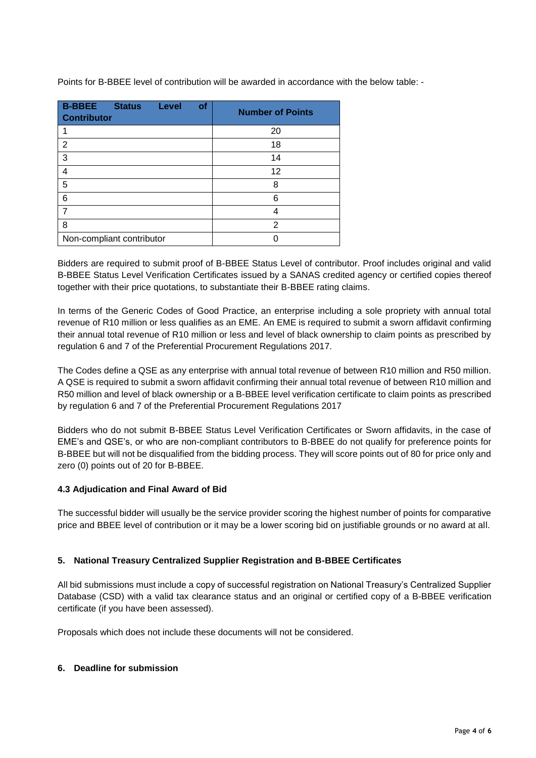| <b>B-BBEE</b><br><b>Status</b><br><b>Level</b><br>of<br><b>Contributor</b> | <b>Number of Points</b> |
|----------------------------------------------------------------------------|-------------------------|
|                                                                            | 20                      |
| $\overline{2}$                                                             | 18                      |
| 3                                                                          | 14                      |
| 4                                                                          | 12                      |
| 5                                                                          | 8                       |
| 6                                                                          | 6                       |
|                                                                            | 4                       |
| 8                                                                          | $\overline{2}$          |
| Non-compliant contributor                                                  |                         |

Points for B-BBEE level of contribution will be awarded in accordance with the below table: -

Bidders are required to submit proof of B-BBEE Status Level of contributor. Proof includes original and valid B-BBEE Status Level Verification Certificates issued by a SANAS credited agency or certified copies thereof together with their price quotations, to substantiate their B-BBEE rating claims.

In terms of the Generic Codes of Good Practice, an enterprise including a sole propriety with annual total revenue of R10 million or less qualifies as an EME. An EME is required to submit a sworn affidavit confirming their annual total revenue of R10 million or less and level of black ownership to claim points as prescribed by regulation 6 and 7 of the Preferential Procurement Regulations 2017.

The Codes define a QSE as any enterprise with annual total revenue of between R10 million and R50 million. A QSE is required to submit a sworn affidavit confirming their annual total revenue of between R10 million and R50 million and level of black ownership or a B-BBEE level verification certificate to claim points as prescribed by regulation 6 and 7 of the Preferential Procurement Regulations 2017

Bidders who do not submit B-BBEE Status Level Verification Certificates or Sworn affidavits, in the case of EME's and QSE's, or who are non-compliant contributors to B-BBEE do not qualify for preference points for B-BBEE but will not be disqualified from the bidding process. They will score points out of 80 for price only and zero (0) points out of 20 for B-BBEE.

# **4.3 Adjudication and Final Award of Bid**

The successful bidder will usually be the service provider scoring the highest number of points for comparative price and BBEE level of contribution or it may be a lower scoring bid on justifiable grounds or no award at all.

## **5. National Treasury Centralized Supplier Registration and B-BBEE Certificates**

All bid submissions must include a copy of successful registration on National Treasury's Centralized Supplier Database (CSD) with a valid tax clearance status and an original or certified copy of a B-BBEE verification certificate (if you have been assessed).

Proposals which does not include these documents will not be considered.

## **6. Deadline for submission**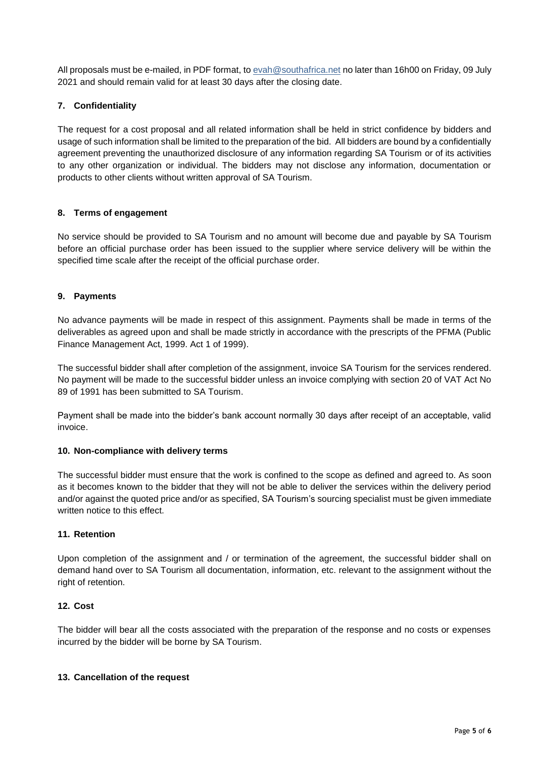All proposals must be e-mailed, in PDF format, to eva[h@southafrica.net](mailto:raymond@southafrica.net) no later than 16h00 on Friday, 09 July 2021 and should remain valid for at least 30 days after the closing date.

## **7. Confidentiality**

The request for a cost proposal and all related information shall be held in strict confidence by bidders and usage of such information shall be limited to the preparation of the bid. All bidders are bound by a confidentially agreement preventing the unauthorized disclosure of any information regarding SA Tourism or of its activities to any other organization or individual. The bidders may not disclose any information, documentation or products to other clients without written approval of SA Tourism.

## **8. Terms of engagement**

No service should be provided to SA Tourism and no amount will become due and payable by SA Tourism before an official purchase order has been issued to the supplier where service delivery will be within the specified time scale after the receipt of the official purchase order.

## **9. Payments**

No advance payments will be made in respect of this assignment. Payments shall be made in terms of the deliverables as agreed upon and shall be made strictly in accordance with the prescripts of the PFMA (Public Finance Management Act, 1999. Act 1 of 1999).

The successful bidder shall after completion of the assignment, invoice SA Tourism for the services rendered. No payment will be made to the successful bidder unless an invoice complying with section 20 of VAT Act No 89 of 1991 has been submitted to SA Tourism.

Payment shall be made into the bidder's bank account normally 30 days after receipt of an acceptable, valid invoice.

## **10. Non-compliance with delivery terms**

The successful bidder must ensure that the work is confined to the scope as defined and agreed to. As soon as it becomes known to the bidder that they will not be able to deliver the services within the delivery period and/or against the quoted price and/or as specified, SA Tourism's sourcing specialist must be given immediate written notice to this effect.

## **11. Retention**

Upon completion of the assignment and / or termination of the agreement, the successful bidder shall on demand hand over to SA Tourism all documentation, information, etc. relevant to the assignment without the right of retention.

## **12. Cost**

The bidder will bear all the costs associated with the preparation of the response and no costs or expenses incurred by the bidder will be borne by SA Tourism.

## **13. Cancellation of the request**